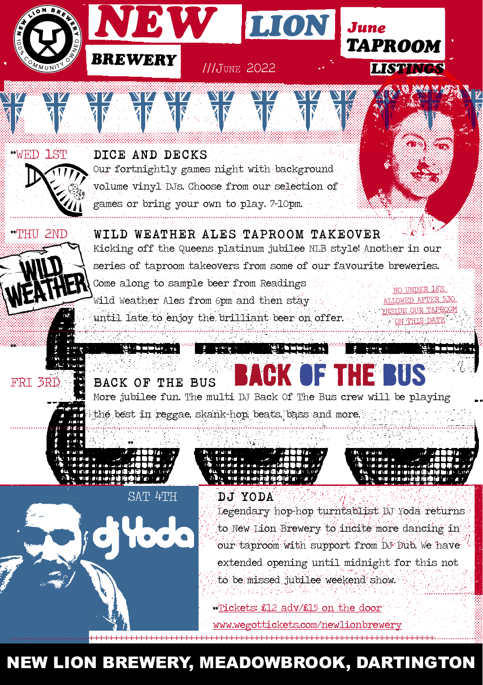

# NEW LION BREWERY, MEADOWBROOK, DARTINGTON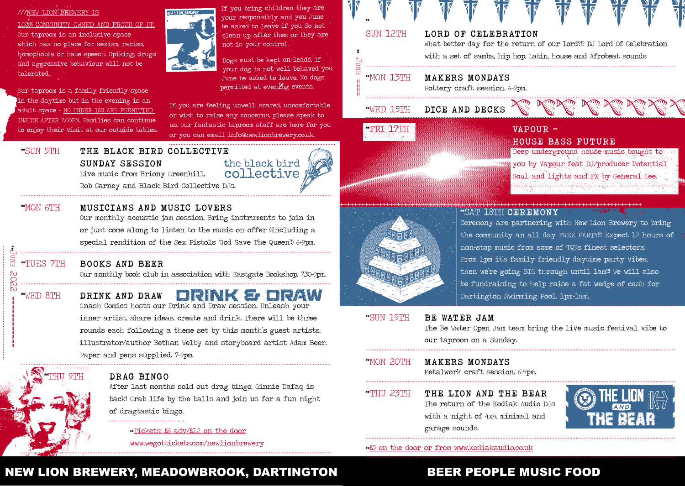#### ///NEW LION BREWERY IS

Our taproom is an inclusive space which has no place for sexism, racism, homophobia or hate speech. Spiking, drugs and aggressive behaviour will not be tolerated. 100% COMMUNITY OWNED AND PROUD OF IT.

Our taproom is a family friendly space in the daytime but in the evening is an adult space - NO UNDER 18S ARE PERMITTED INSIDE AFTER 7.00PM. Families can continue to enjoy their visit at our outside tables.



If you bring children they are your responsibly and you June be asked to leave if you do not clean up after them or they are not in your control.

Dogs must be kept on leads. If your dog is not well behaved you June be asked to leave. No dogs permitted at evening events.

If you are feeling unwell, scared, uncomfortable or wish to raise any concerns, please speak to us. Our fantastic taproom staff are here for you or you can email info@newlionbrewery.co.uk.

#### \*\*SUN 5TH THE BLACK BIRD COLLECTIVE the black bird SUNDAY SESSION collective <sub>魔</sub>

Live music from Briony Greenhill,

Rob Carney and Black Bird Collective DJs.

### \*\*MON 6TH MUSICIANS AND MUSIC LOVERS

Our monthly acoustic jam session. Bring instruments to join in or just come along to listen to the music on offer (including a special rendition of the Sex Pistols 'God Save The Queen'!) 6-9pm.

#### \*\*TUES 7TH BOOKS AND BEER

Our monthly book club in association with Eastgate Bookshop. 7.30-9pm.

\*\*WED 8TH DRINK AND DRAW  $G$ une 2022 ================

\*\*

# **DRINK S DRAW**

Gnash Comics hosts our Drink and Draw session. Unleash your inner artist, share ideas, create and drink. There will be three rounds each following a theme set by this month's guest artists, illustrator/author Bethan Welby and storyboard artist Adam Beer. Paper and pens supplied. 7-9pm.

#### DRAG BINGO

After last months sold out drag bingo, Ginnie Dafaq is back! Grab life by the balls and join us for a fun night of dragtastic bingo.

\*\*Tickets: £6 adv/£12 on the door www.wegottickets.com/newlionbrewery





## \*\*SAT 18TH CEREMONY

Ceremony are partnering with New Lion Brewery to bring the community an all day FREE PARTY!!! Expect 12 hours of non-stop music from some of TQ9s finest selectors. From 1pm it's family friendly daytime party vibes, then we're going BIG through until 1am!!! We will also be fundraising to help raise a fat wedge of cash for Dartington Swimming Pool. 1pm-1am.

#### \*\*SUN 19TH BE WATER JAM

The Be Water Open Jam team bring the live music festival vibe to our taproom on a Sunday.

- \*\*MON 20TH MAKERS MONDAYS Metalwork craft session. 6-9pm.
- \*\*THU 23TH THE LION AND THE BEAR The return of the Kodiak Audio DJs with a night of 4x4, minimal and garage sounds.



\*\*£5 on the door or from www.kodiakaudio.co.uk

## NEW LION BREWERY, MEADOWBROOK, DARTINGTON BEER PEOPLE MUSIC FOOD